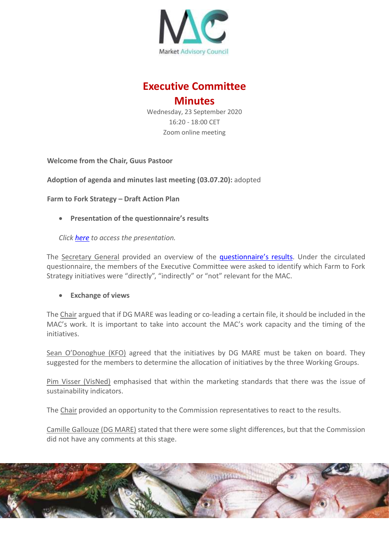

# **Executive Committee Minutes**

Wednesday, 23 September 2020 16:20 - 18:00 CET Zoom online meeting

**Welcome from the Chair, Guus Pastoor**

**Adoption of agenda and minutes last meeting (03.07.20):** adopted

**Farm to Fork Strategy – Draft Action Plan**

**Presentation of the questionnaire's results**

*Click [here](https://marketac.eu/wp-content/uploads/2020/02/MAC-Secretariat-Presentation-F2F-Strategy-Draft-Action-Plan.pdf) to access the presentation.* 

The Secretary General provided an overview of the **questionnaire's results**. Under the circulated questionnaire, the members of the Executive Committee were asked to identify which Farm to Fork Strategy initiatives were "directly", "indirectly" or "not" relevant for the MAC.

**Exchange of views**

The Chair argued that if DG MARE was leading or co-leading a certain file, it should be included in the MAC's work. It is important to take into account the MAC's work capacity and the timing of the initiatives.

Sean O'Donoghue (KFO) agreed that the initiatives by DG MARE must be taken on board. They suggested for the members to determine the allocation of initiatives by the three Working Groups.

Pim Visser (VisNed) emphasised that within the marketing standards that there was the issue of sustainability indicators.

The Chair provided an opportunity to the Commission representatives to react to the results.

Camille Gallouze (DG MARE) stated that there were some slight differences, but that the Commission did not have any comments at this stage.

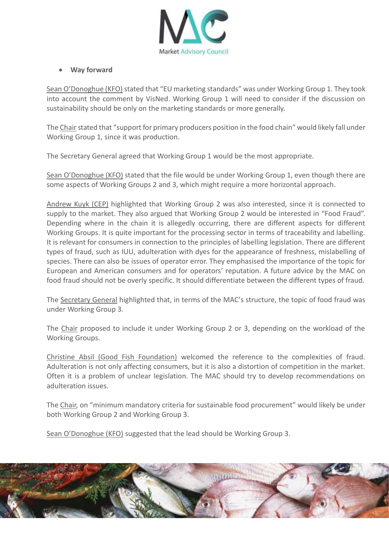

#### **Way forward**

Sean O'Donoghue (KFO) stated that "EU marketing standards" was under Working Group 1. They took into account the comment by VisNed. Working Group 1 will need to consider if the discussion on sustainability should be only on the marketing standards or more generally.

The Chair stated that "support for primary producers position in the food chain" would likely fall under Working Group 1, since it was production.

The Secretary General agreed that Working Group 1 would be the most appropriate.

Sean O'Donoghue (KFO) stated that the file would be under Working Group 1, even though there are some aspects of Working Groups 2 and 3, which might require a more horizontal approach.

Andrew Kuyk (CEP) highlighted that Working Group 2 was also interested, since it is connected to supply to the market. They also argued that Working Group 2 would be interested in "Food Fraud". Depending where in the chain it is allegedly occurring, there are different aspects for different Working Groups. It is quite important for the processing sector in terms of traceability and labelling. It is relevant for consumers in connection to the principles of labelling legislation. There are different types of fraud, such as IUU, adulteration with dyes for the appearance of freshness, mislabelling of species. There can also be issues of operator error. They emphasised the importance of the topic for European and American consumers and for operators' reputation. A future advice by the MAC on food fraud should not be overly specific. It should differentiate between the different types of fraud.

The Secretary General highlighted that, in terms of the MAC's structure, the topic of food fraud was under Working Group 3.

The Chair proposed to include it under Working Group 2 or 3, depending on the workload of the Working Groups.

Christine Absil (Good Fish Foundation) welcomed the reference to the complexities of fraud. Adulteration is not only affecting consumers, but it is also a distortion of competition in the market. Often it is a problem of unclear legislation. The MAC should try to develop recommendations on adulteration issues.

The Chair, on "minimum mandatory criteria for sustainable food procurement" would likely be under both Working Group 2 and Working Group 3.

Sean O'Donoghue (KFO) suggested that the lead should be Working Group 3.

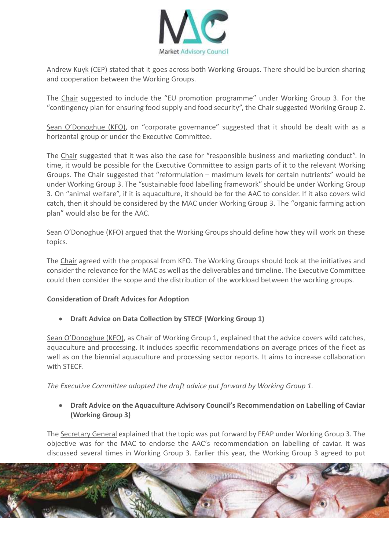

Andrew Kuyk (CEP) stated that it goes across both Working Groups. There should be burden sharing and cooperation between the Working Groups.

The Chair suggested to include the "EU promotion programme" under Working Group 3. For the "contingency plan for ensuring food supply and food security", the Chair suggested Working Group 2.

Sean O'Donoghue (KFO), on "corporate governance" suggested that it should be dealt with as a horizontal group or under the Executive Committee.

The Chair suggested that it was also the case for "responsible business and marketing conduct". In time, it would be possible for the Executive Committee to assign parts of it to the relevant Working Groups. The Chair suggested that "reformulation – maximum levels for certain nutrients" would be under Working Group 3. The "sustainable food labelling framework" should be under Working Group 3. On "animal welfare", if it is aquaculture, it should be for the AAC to consider. If it also covers wild catch, then it should be considered by the MAC under Working Group 3. The "organic farming action plan" would also be for the AAC.

Sean O'Donoghue (KFO) argued that the Working Groups should define how they will work on these topics.

The Chair agreed with the proposal from KFO. The Working Groups should look at the initiatives and consider the relevance for the MAC as well as the deliverables and timeline. The Executive Committee could then consider the scope and the distribution of the workload between the working groups.

# **Consideration of Draft Advices for Adoption**

**Draft Advice on Data Collection by STECF (Working Group 1)**

Sean O'Donoghue (KFO), as Chair of Working Group 1, explained that the advice covers wild catches, aquaculture and processing. It includes specific recommendations on average prices of the fleet as well as on the biennial aquaculture and processing sector reports. It aims to increase collaboration with STECF.

*The Executive Committee adopted the draft advice put forward by Working Group 1.*

 **Draft Advice on the Aquaculture Advisory Council's Recommendation on Labelling of Caviar (Working Group 3)**

The Secretary General explained that the topic was put forward by FEAP under Working Group 3. The objective was for the MAC to endorse the AAC's recommendation on labelling of caviar. It was discussed several times in Working Group 3. Earlier this year, the Working Group 3 agreed to put

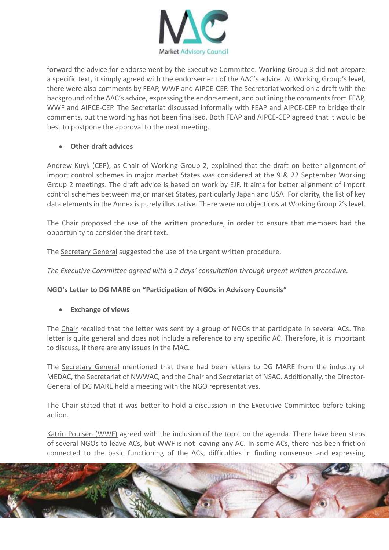

forward the advice for endorsement by the Executive Committee. Working Group 3 did not prepare a specific text, it simply agreed with the endorsement of the AAC's advice. At Working Group's level, there were also comments by FEAP, WWF and AIPCE-CEP. The Secretariat worked on a draft with the background of the AAC's advice, expressing the endorsement, and outlining the comments from FEAP, WWF and AIPCE-CEP. The Secretariat discussed informally with FEAP and AIPCE-CEP to bridge their comments, but the wording has not been finalised. Both FEAP and AIPCE-CEP agreed that it would be best to postpone the approval to the next meeting.

# **Other draft advices**

Andrew Kuyk (CEP), as Chair of Working Group 2, explained that the draft on better alignment of import control schemes in major market States was considered at the 9 & 22 September Working Group 2 meetings. The draft advice is based on work by EJF. It aims for better alignment of import control schemes between major market States, particularly Japan and USA. For clarity, the list of key data elements in the Annex is purely illustrative. There were no objections at Working Group 2's level.

The Chair proposed the use of the written procedure, in order to ensure that members had the opportunity to consider the draft text.

The Secretary General suggested the use of the urgent written procedure.

*The Executive Committee agreed with a 2 days' consultation through urgent written procedure.* 

**NGO's Letter to DG MARE on "Participation of NGOs in Advisory Councils"**

**Exchange of views**

The Chair recalled that the letter was sent by a group of NGOs that participate in several ACs. The letter is quite general and does not include a reference to any specific AC. Therefore, it is important to discuss, if there are any issues in the MAC.

The Secretary General mentioned that there had been letters to DG MARE from the industry of MEDAC, the Secretariat of NWWAC, and the Chair and Secretariat of NSAC. Additionally, the Director-General of DG MARE held a meeting with the NGO representatives.

The Chair stated that it was better to hold a discussion in the Executive Committee before taking action.

Katrin Poulsen (WWF) agreed with the inclusion of the topic on the agenda. There have been steps of several NGOs to leave ACs, but WWF is not leaving any AC. In some ACs, there has been friction connected to the basic functioning of the ACs, difficulties in finding consensus and expressing

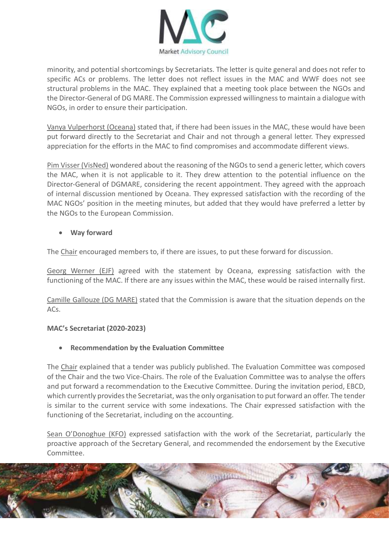

minority, and potential shortcomings by Secretariats. The letter is quite general and does not refer to specific ACs or problems. The letter does not reflect issues in the MAC and WWF does not see structural problems in the MAC. They explained that a meeting took place between the NGOs and the Director-General of DG MARE. The Commission expressed willingness to maintain a dialogue with NGOs, in order to ensure their participation.

Vanya Vulperhorst (Oceana) stated that, if there had been issues in the MAC, these would have been put forward directly to the Secretariat and Chair and not through a general letter. They expressed appreciation for the efforts in the MAC to find compromises and accommodate different views.

Pim Visser (VisNed) wondered about the reasoning of the NGOs to send a generic letter, which covers the MAC, when it is not applicable to it. They drew attention to the potential influence on the Director-General of DGMARE, considering the recent appointment. They agreed with the approach of internal discussion mentioned by Oceana. They expressed satisfaction with the recording of the MAC NGOs' position in the meeting minutes, but added that they would have preferred a letter by the NGOs to the European Commission.

**Way forward**

The Chair encouraged members to, if there are issues, to put these forward for discussion.

Georg Werner (EJF) agreed with the statement by Oceana, expressing satisfaction with the functioning of the MAC. If there are any issues within the MAC, these would be raised internally first.

Camille Gallouze (DG MARE) stated that the Commission is aware that the situation depends on the ACs.

# **MAC's Secretariat (2020-2023)**

**Recommendation by the Evaluation Committee**

The Chair explained that a tender was publicly published. The Evaluation Committee was composed of the Chair and the two Vice-Chairs. The role of the Evaluation Committee was to analyse the offers and put forward a recommendation to the Executive Committee. During the invitation period, EBCD, which currently provides the Secretariat, was the only organisation to put forward an offer. The tender is similar to the current service with some indexations. The Chair expressed satisfaction with the functioning of the Secretariat, including on the accounting.

Sean O'Donoghue (KFO) expressed satisfaction with the work of the Secretariat, particularly the proactive approach of the Secretary General, and recommended the endorsement by the Executive Committee.

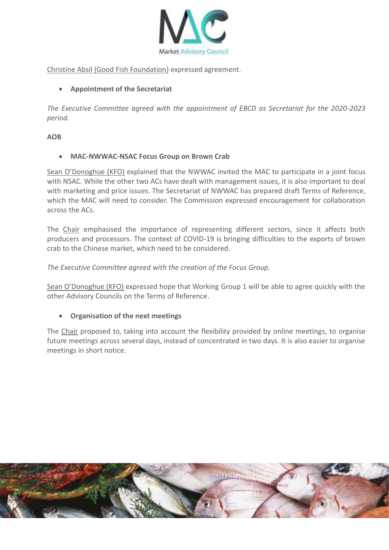

#### Christine Absil (Good Fish Foundation) expressed agreement.

# **Appointment of the Secretariat**

*The Executive Committee agreed with the appointment of EBCD as Secretariat for the 2020-2023 period.*

#### **AOB**

#### **MAC-NWWAC-NSAC Focus Group on Brown Crab**

Sean O'Donoghue (KFO) explained that the NWWAC invited the MAC to participate in a joint focus with NSAC. While the other two ACs have dealt with management issues, it is also important to deal with marketing and price issues. The Secretariat of NWWAC has prepared draft Terms of Reference, which the MAC will need to consider. The Commission expressed encouragement for collaboration across the ACs.

The Chair emphasised the importance of representing different sectors, since it affects both producers and processors. The context of COVID-19 is bringing difficulties to the exports of brown crab to the Chinese market, which need to be considered.

#### *The Executive Committee agreed with the creation of the Focus Group.*

Sean O'Donoghue (KFO) expressed hope that Working Group 1 will be able to agree quickly with the other Advisory Councils on the Terms of Reference.

# **Organisation of the next meetings**

The Chair proposed to, taking into account the flexibility provided by online meetings, to organise future meetings across several days, instead of concentrated in two days. It is also easier to organise meetings in short notice.

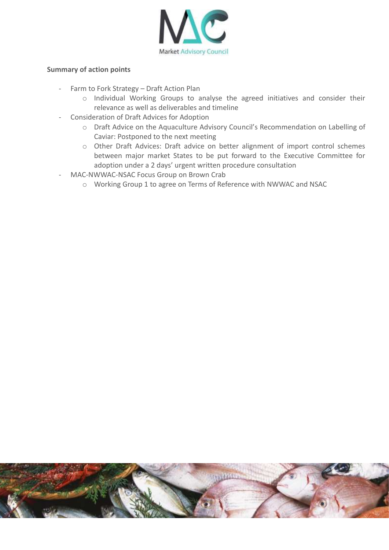

#### **Summary of action points**

- Farm to Fork Strategy Draft Action Plan
	- o Individual Working Groups to analyse the agreed initiatives and consider their relevance as well as deliverables and timeline
- Consideration of Draft Advices for Adoption
	- o Draft Advice on the Aquaculture Advisory Council's Recommendation on Labelling of Caviar: Postponed to the next meeting
	- o Other Draft Advices: Draft advice on better alignment of import control schemes between major market States to be put forward to the Executive Committee for adoption under a 2 days' urgent written procedure consultation
- MAC-NWWAC-NSAC Focus Group on Brown Crab
	- o Working Group 1 to agree on Terms of Reference with NWWAC and NSAC

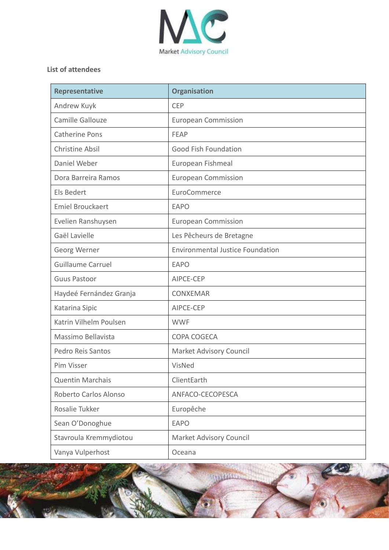

# **List of attendees**

| Representative           | Organisation                            |
|--------------------------|-----------------------------------------|
| Andrew Kuyk              | <b>CEP</b>                              |
| Camille Gallouze         | <b>European Commission</b>              |
| <b>Catherine Pons</b>    | <b>FEAP</b>                             |
| Christine Absil          | <b>Good Fish Foundation</b>             |
| Daniel Weber             | European Fishmeal                       |
| Dora Barreira Ramos      | <b>European Commission</b>              |
| Els Bedert               | EuroCommerce                            |
| <b>Emiel Brouckaert</b>  | <b>EAPO</b>                             |
| Evelien Ranshuysen       | <b>European Commission</b>              |
| Gaël Lavielle            | Les Pêcheurs de Bretagne                |
| Georg Werner             | <b>Environmental Justice Foundation</b> |
| <b>Guillaume Carruel</b> | <b>EAPO</b>                             |
| <b>Guus Pastoor</b>      | AIPCE-CEP                               |
| Haydeé Fernández Granja  | <b>CONXEMAR</b>                         |
| Katarina Sipic           | AIPCE-CEP                               |
| Katrin Vilhelm Poulsen   | <b>WWF</b>                              |
| Massimo Bellavista       | COPA COGECA                             |
| Pedro Reis Santos        | <b>Market Advisory Council</b>          |
| Pim Visser               | VisNed                                  |
| <b>Quentin Marchais</b>  | ClientEarth                             |
| Roberto Carlos Alonso    | ANFACO-CECOPESCA                        |
| Rosalie Tukker           | Europêche                               |
| Sean O'Donoghue          | <b>EAPO</b>                             |
| Stavroula Kremmydiotou   | Market Advisory Council                 |
| Vanya Vulperhost         | Oceana                                  |